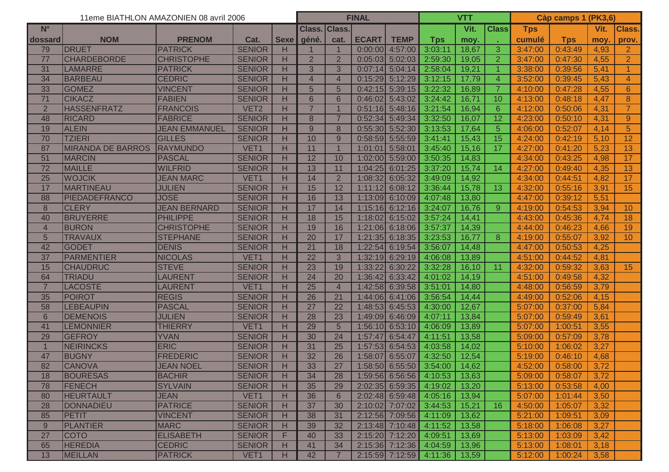|                  | 11eme BIATHLON AMAZONIEN 08 avril 2006 |                      |                  |             |                 |                 | <b>FINAL</b>      |                         |                                 |       | <b>VTT</b>     |            |            | Càp camps 1 (PK3,6) |                 |
|------------------|----------------------------------------|----------------------|------------------|-------------|-----------------|-----------------|-------------------|-------------------------|---------------------------------|-------|----------------|------------|------------|---------------------|-----------------|
| $N^{\circ}$      |                                        |                      |                  |             | Class.          | <b>Class.</b>   |                   |                         |                                 | Vit.  | <b>Class</b>   | <b>Tps</b> |            | Vit.                | Class.          |
| dossard          | <b>NOM</b>                             | <b>PRENOM</b>        | Cat.             | <b>Sexe</b> | géné.           | cat.            | <b>ECART</b>      | <b>TEMP</b>             | <b>Tps</b>                      | moy.  |                | cumulé     | <b>Tps</b> | moy.                | prov.           |
| 79               | <b>DRUET</b>                           | <b>PATRICK</b>       | <b>SENIOR</b>    | н           |                 |                 |                   | $0:00:00$ 4:57:00       | 3:03:11                         | 18,67 | 3              | 3:47:00    | 0:43:49    | 4,93                | 2               |
| 77               | <b>CHARDEBORDE</b>                     | <b>CHRISTOPHE</b>    | <b>SENIOR</b>    | H           | $\overline{2}$  | $\overline{2}$  |                   | $0:05:03$ 5:02:03       | 2:59:30                         | 19,05 | $\overline{2}$ | 3:47:00    | 0:47:30    | 4,55                | $\overline{2}$  |
| 31               | LAMARRE                                | <b>PATRICK</b>       | <b>SENIOR</b>    | H           | $\overline{3}$  | 3               | $0:07:14$ 5:04:14 |                         | 2:58:04                         | 19,21 | $\overline{1}$ | 3:38:00    | 0:39:56    | 5,41                | $\overline{1}$  |
| 34               | <b>BARBEAU</b>                         | <b>CEDRIC</b>        | <b>SENIOR</b>    | H           | $\overline{4}$  | $\overline{4}$  |                   | $0:15:29$ 5:12:29       | 3:12:15                         | 17,79 | $\overline{4}$ | 3:52:00    | 0:39:45    | 5,43                | $\overline{4}$  |
| 33               | <b>GOMEZ</b>                           | <b>VINCENT</b>       | <b>SENIOR</b>    | H           | 5               | 5               |                   | $0:42:15$ 5:39:15       | 3:22:32                         | 16,89 | 7              | 4:10:00    | 0:47:28    | 4,55                | 6               |
| 71               | <b>CIKACZ</b>                          | <b>FABIEN</b>        | <b>SENIOR</b>    | н           | $6\phantom{1}$  | 6               |                   | $0:46:02$ 5:43:02       | 3:24:42                         | 16,71 | 10             | 4:13:00    | 0:48:18    | 4,47                | 8               |
| $\overline{2}$   | <b>HASSENFRATZ</b>                     | <b>FRANCOIS</b>      | VET <sub>2</sub> | н           | $\overline{7}$  |                 |                   | $0:51:16$ 5:48:16       | 3:21:54                         | 16,94 | 6              | 4:12:00    | 0:50:06    | 4,31                | $\overline{7}$  |
| 48               | <b>RICARD</b>                          | <b>FABRICE</b>       | <b>SENIOR</b>    | н           | 8               | $\overline{7}$  |                   | $0:52:34$ 5:49:34       | 3:32:50                         | 16,07 | 12             | 4:23:00    | 0:50:10    | 4,31                | 9 <sup>°</sup>  |
| 19               | <b>ALEIN</b>                           | <b>JEAN EMMANUEL</b> | <b>SENIOR</b>    | н           | 9               | 8               |                   | $0:55:30$ 5:52:30       | 3:13:53                         | 17,64 | 5              | 4:06:00    | 0:52:07    | 4,14                | 5               |
| 70               | <b>TZIERI</b>                          | <b>GILLES</b>        | <b>SENIOR</b>    | H           | 10              | 9               |                   | $0:58:59$ 5:55:59       | 3:41:41                         | 15,43 | 15             | 4:24:00    | 0:42:19    | 5,10                | 12              |
| 87               | <b>MIRANDA DE BARROS</b>               | RAYMUNDO             | VET <sub>1</sub> | H           | 11              |                 |                   | 1:01:01 5:58:01         | 3:45:40                         | 15,16 | 17             | 4:27:00    | 0:41:20    | 5,23                | $\overline{13}$ |
| 51               | <b>MARCIN</b>                          | PASCAL               | <b>SENIOR</b>    | H           | 12              | 10              |                   | 1:02:00 5:59:00         | 3:50:35                         | 14,83 |                | 4:34:00    | 0:43:25    | 4,98                | 17              |
| 72               | MAILLE                                 | <b>WILFRID</b>       | <b>SENIOR</b>    | H           | 13              | 11              |                   | $1:04:25$ 6:01:25       | 3:37:20                         | 15,74 | 14             | 4:27:00    | 0:49:40    | 4,35                | 13              |
| 25               | <b>WOJCIK</b>                          | <b>JEAN MARC</b>     | VET <sub>1</sub> | н           | 14              | $\overline{2}$  | 1:08:32           | 6:05:32                 | 3:49:09                         | 14,92 |                | 4:34:00    | 0:44:51    | 4,82                | 17              |
| 17               | <b>MARTINEAU</b>                       | <b>JULIEN</b>        | <b>SENIOR</b>    | н           | 15              | 12              | 1:11:12           | 6:08:12                 | 3:36:44                         | 15,78 | 13             | 4:32:00    | 0:55:16    | 3,91                | 15              |
| 88               | PIEDADEFRANCO                          | <b>JOSE</b>          | <b>SENIOR</b>    | H           | 16              | 13              |                   | 1:13:09 6:10:09         | 4:07:48                         | 13,80 |                | 4:47:00    | 0:39:12    | 5,51                |                 |
| $\boldsymbol{8}$ | <b>CLERY</b>                           | <b>JEAN BERNARD</b>  | <b>SENIOR</b>    | H           | 17              | 14              |                   | $1:15:16$ 6:12:16       | 3:24:07                         | 16,76 | 9              | 4:19:00    | 0:54:53    | 3,94                | 10 <sup>°</sup> |
| 40               | <b>BRUYERRE</b>                        | <b>PHILIPPE</b>      | <b>SENIOR</b>    | H           | 18              | 15              | 1:18:02           | 6:15:02                 | 3:57:24                         | 14,41 |                | 4:43:00    | 0:45:36    | 4,74                | 18              |
| $\overline{4}$   | <b>BURON</b>                           | <b>CHRISTOPHE</b>    | <b>SENIOR</b>    | H           | 19              | 16              |                   | $1:21:06$ 6:18:06       | 3:57:37                         | 14,39 |                | 4:44:00    | 0:46:23    | 4,66                | 19              |
| 5                | <b>TRAVAUX</b>                         | <b>STEPHANE</b>      | <b>SENIOR</b>    | н           | 20              | 17              |                   | $1:21:35$ 6:18:35       | 3:23:53                         | 16,77 | 8              | 4:19:00    | 0:55:07    | 3,92                | 10 <sup>°</sup> |
| 42               | <b>GODET</b>                           | <b>DENIS</b>         | <b>SENIOR</b>    | н           | 21              | 18              |                   | $1:22:54$ 6:19:54       | 3:56:07                         | 14,48 |                | 4:47:00    | 0:50:53    | 4,25                |                 |
| 37               | PARMENTIER                             | <b>NICOLAS</b>       | VET1             | H           | $\overline{22}$ | 3               |                   | $1:32:19$ 6:29:19       | 4:06:08                         | 13,89 |                | 4:51:00    | 0:44:52    | 4,81                |                 |
| 15               | <b>CHAUDRUC</b>                        | <b>STEVE</b>         | <b>SENIOR</b>    | H           | 23              | 19              | 1:33:22           | 6:30:22                 | 3:32:28                         | 16,10 | 11             | 4:32:00    | 0:59:32    | 3,63                | 15              |
| 64               | <b>TRIADU</b>                          | <b>LAURENT</b>       | <b>SENIOR</b>    | H           | 24              | 20              |                   | $1:36:42$ 6:33:42       | 4:01:02                         | 14,19 |                | 4:51:00    | 0:49:58    | 4,32                |                 |
| $\overline{7}$   | <b>LACOSTE</b>                         | <b>LAURENT</b>       | VET <sub>1</sub> | н           | 25              | $\overline{4}$  |                   | 1:42:58 6:39:58         | 3:51:01                         | 14,80 |                | 4:48:00    | 0:56:59    | 3,79                |                 |
| 35               | <b>POIROT</b>                          | <b>REGIS</b>         | <b>SENIOR</b>    | н           | 26              | 21              |                   | $1:44:06$ 6:41:06       | 3:56:54                         | 14,44 |                | 4:49:00    | 0:52:06    | 4,15                |                 |
| 58               | <b>LEBEAUPIN</b>                       | PASCAL               | <b>SENIOR</b>    | н           | $\overline{27}$ | 22              |                   | 1:48:53 6:45:53         | 4:30:00                         | 12,67 |                | 5:07:00    | 0:37:00    | 5,84                |                 |
| $6\phantom{1}$   | <b>DEMENOIS</b>                        | <b>JULIEN</b>        | <b>SENIOR</b>    | н           | 28              | 23              |                   | 1:49:09 6:46:09         | 4:07:11                         | 13,84 |                | 5:07:00    | 0:59:49    | 3,61                |                 |
| 41               | <b>LEMONNIER</b>                       | <b>THIERRY</b>       | VET1             | H           | 29              | $5\overline{)}$ |                   | $1:56:10$ 6:53:10       | 4:06:09                         | 13,89 |                | 5:07:00    | 1:00:51    | 3,55                |                 |
| 29               | <b>GEFROY</b>                          | <b>YVAN</b>          | <b>SENIOR</b>    | H           | 30              | 24              | 1:57:47           | 6:54:47                 | 4:11:51                         | 13,58 |                | 5:09:00    | 0:57:09    | 3,78                |                 |
| 1                | NEIRINCKS                              | <b>ERIC</b>          | <b>SENIOR</b>    | н           | 31              | 25              |                   | $1:57:53$ 6:54:53       | 4:03:58                         | 14,02 |                | 5:10:00    | 1:06:02    | 3,27                |                 |
| 47               | <b>BUGNY</b>                           | <b>FREDERIC</b>      | <b>SENIOR</b>    | н           | 32              | 26              | 1:58:07           | 6:55:07                 | 4:32:50                         | 12,54 |                | 5:19:00    | 0:46:10    | 4,68                |                 |
| 82               | CANOVA                                 | JEAN NOEL            | <b>SENIOR</b>    | н<br>.      | 33              | 27              |                   |                         | $1:58:50$ 6:55:50 3:54:00 14,62 |       |                | 4:52:00    | 0:58:00    | 3,72                |                 |
| 18               | <b>BOURESAS</b>                        | <b>BACHIR</b>        | <b>SENIOR</b>    | н           | 34              | 28              |                   | 1:59:56 6:56:56 4:10:53 |                                 | 13,63 |                | 5:09:00    | 0:58:07    | 3,72                |                 |
| 78               | <b>FENECH</b>                          | <b>SYLVAIN</b>       | <b>SENIOR</b>    | н           | 35              | 29              |                   |                         | $2:02:35$ 6:59:35 4:19:02       | 13,20 |                | 5:13:00    | 0:53:58    | 4,00                |                 |
| 80               | <b>HEURTAULT</b>                       | JEAN                 | VET1             | н           | 36              | $6\phantom{1}$  |                   |                         | $2:02:48$ 6:59:48 4:05:16       | 13,94 |                | 5:07:00    | 1:01:44    | 3,50                |                 |
| 28               | DONNADIEU                              | <b>PATRICE</b>       | <b>SENIOR</b>    | н           | 37              | 30              |                   | 2:10:02 7:07:02 3:44:53 |                                 | 15,21 | 16             | 4:50:00    | 1:05:07    | 3,32                |                 |
| 85               | <b>PETIT</b>                           | <b>VINCENT</b>       | <b>SENIOR</b>    | H           | 38              | 31              |                   | 2:12:56 7:09:56 4:11:09 |                                 | 13,62 |                | 5:21:00    | 1:09:51    | 3,09                |                 |
| 9                | <b>PLANTIER</b>                        | <b>MARC</b>          | <b>SENIOR</b>    | н           | 39              | 32              |                   | 2:13:48 7:10:48 4:11:52 |                                 | 13,58 |                | 5:18:00    | 1:06:08    | 3,27                |                 |
| 27               | <b>COTO</b>                            | <b>ELISABETH</b>     | <b>SENIOR</b>    | F           | 40              | 33              |                   | 2:15:20 7:12:20 4:09:51 |                                 | 13,69 |                | 5:13:00    | 1:03:09    | 3,42                |                 |
| 65               | <b>HEREDIA</b>                         | <b>CEDRIC</b>        | <b>SENIOR</b>    | н           | 41              | 34              |                   | 2:15:36 7:12:36 4:04:59 |                                 | 13,96 |                | 5:13:00    | 1:08:01    | 3,18                |                 |
| 13               | <b>MEILLAN</b>                         | <b>PATRICK</b>       | VET1             | н           | 42              |                 |                   | 2:15:59 7:12:59 4:11:36 |                                 | 13,59 |                | 5:12:00    | 1:00:24    | 3,58                |                 |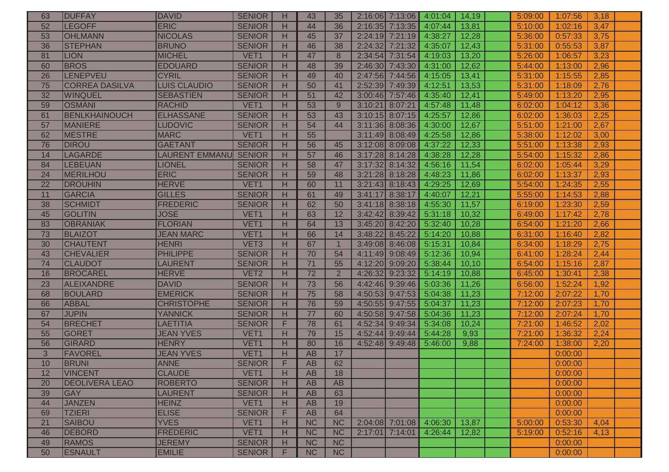| 63 | <b>DUFFAY</b>         | <b>DAVID</b>          | <b>SENIOR</b>    | H | 43              | 35             |                   | $2:16:06$ 7:13:06 | 4:01:04 | 14,19 | 5:09:00 | 1:07:56 | 3,18 |  |
|----|-----------------------|-----------------------|------------------|---|-----------------|----------------|-------------------|-------------------|---------|-------|---------|---------|------|--|
| 52 | <b>LEGOFF</b>         | <b>ERIC</b>           | <b>SENIOR</b>    | H | 44              | 36             |                   | 2:16:35 7:13:35   | 4:07:44 | 13,81 | 5:10:00 | 1:02:16 | 3,47 |  |
| 53 | <b>OHLMANN</b>        | <b>NICOLAS</b>        | <b>SENIOR</b>    | H | 45              | 37             |                   | 2:24:19 7:21:19   | 4:38:27 | 12,28 | 5:36:00 | 0:57:33 | 3,75 |  |
| 36 | <b>STEPHAN</b>        | <b>BRUNO</b>          | <b>SENIOR</b>    | H | 46              | 38             | 2:24:32 7:21:32   |                   | 4:35:07 | 12,43 | 5:31:00 | 0:55:53 | 3,87 |  |
| 81 | <b>LION</b>           | <b>MICHEL</b>         | VET1             | H | 47              | 8              | 2:34:54 7:31:54   |                   | 4:19:03 | 13,20 | 5:26:00 | 1:06:57 | 3,23 |  |
| 60 | <b>BROS</b>           | <b>EDOUARD</b>        | <b>SENIOR</b>    | н | 48              | 39             | 2:46:30 7:43:30   |                   | 4:31:00 | 12,62 | 5:44:00 | 1:13:00 | 2,96 |  |
| 26 | LENEPVEU              | <b>CYRIL</b>          | <b>SENIOR</b>    | н | 49              | 40             |                   | 2:47:56 7:44:56   | 4:15:05 | 13,41 | 5:31:00 | 1:15:55 | 2,85 |  |
| 75 | <b>CORREA DASILVA</b> | <b>LUIS CLAUDIO</b>   | <b>SENIOR</b>    | н | 50              | 41             | 2:52:39 7:49:39   |                   | 4:12:51 | 13,53 | 5:31:00 | 1:18:09 | 2,76 |  |
| 32 | WINQUEL               | <b>SEBASTIEN</b>      | <b>SENIOR</b>    | H | 51              | 42             | 3:00:46 7:57:46   |                   | 4:35:40 | 12,41 | 5:49:00 | 1:13:20 | 2,95 |  |
| 59 | <b>OSMANI</b>         | <b>RACHID</b>         | VET1             | н | 53              | 9              | 3:10:21 8:07:21   |                   | 4:57:48 | 11,48 | 6:02:00 | 1:04:12 | 3,36 |  |
| 61 | BENLKHAINOUCH         | <b>ELHASSANE</b>      | <b>SENIOR</b>    | H | 53              | 43             | $3:10:15$ 8:07:15 |                   | 4:25:57 | 12,86 | 6:02:00 | 1:36:03 | 2,25 |  |
| 57 | <b>MANIERE</b>        | <b>LUDOVIC</b>        | <b>SENIOR</b>    | H | 54              | 44             | 3:11:36           | 8:08:36           | 4:30:00 | 12,67 | 5:51:00 | 1:21:00 | 2,67 |  |
| 62 | <b>MESTRE</b>         | <b>MARC</b>           | VET <sub>1</sub> | н | $\overline{55}$ |                | 3:11:49 8:08:49   |                   | 4:25:58 | 12,86 | 5:38:00 | 1:12:02 | 3,00 |  |
| 76 | <b>DIROU</b>          | <b>GAETANT</b>        | <b>SENIOR</b>    | н | 56              | 45             | 3:12:08 8:09:08   |                   | 4:37:22 | 12,33 | 5:51:00 | 1:13:38 | 2,93 |  |
| 14 | <b>LAGARDE</b>        | <b>LAURENT EMMANU</b> | <b>SENIOR</b>    | H | 57              | 46             | 3:17:28 8:14:28   |                   | 4:38:28 | 12,28 | 5:54:00 | 1:15:32 | 2,86 |  |
| 84 | <b>LEBEUAN</b>        | <b>LIONEL</b>         | <b>SENIOR</b>    | H | 58              | 47             | 3:17:32 8:14:32   |                   | 4:56:16 | 11,54 | 6:02:00 | 1:05:44 | 3,29 |  |
| 24 | MERILHOU              | <b>ERIC</b>           | <b>SENIOR</b>    | H | 59              | 48             |                   | 3:21:28 8:18:28   | 4:48:23 | 11,86 | 6:02:00 | 1:13:37 | 2,93 |  |
| 22 | <b>DROUHIN</b>        | <b>HERVE</b>          | VET1             | H | 60              | 11             | $3:21:43$ 8:18:43 |                   | 4:29:25 | 12,69 | 5:54:00 | 1:24:35 | 2,55 |  |
| 11 | <b>GARCIA</b>         | <b>GILLES</b>         | <b>SENIOR</b>    | н | 61              | 49             | 3:41:17 8:38:17   |                   | 4:40:07 | 12,21 | 5:55:00 | 1:14:53 | 2,88 |  |
| 38 | <b>SCHMIDT</b>        | <b>FREDERIC</b>       | <b>SENIOR</b>    | H | 62              | 50             |                   | $3:41:18$ 8:38:18 | 4:55:30 | 11,57 | 6:19:00 | 1:23:30 | 2,59 |  |
| 45 | <b>GOLITIN</b>        | <b>JOSE</b>           | VET1             | H | 63              | 12             | 3:42:42 8:39:42   |                   | 5:31:18 | 10,32 | 6:49:00 | 1:17:42 | 2,78 |  |
| 83 | <b>OBRANIAK</b>       | <b>FLORIAN</b>        | VET <sub>1</sub> | H | 64              | 13             | $3:45:20$ 8:42:20 |                   | 5:32:40 | 10,28 | 6:54:00 | 1:21:20 | 2,66 |  |
| 73 | <b>BLAIZOT</b>        | <b>JEAN MARC</b>      | VET <sub>1</sub> | H | 66              | 14             | 3:48:22           | 8:45:22           | 5:14:20 | 10,88 | 6:31:00 | 1:16:40 | 2,82 |  |
| 30 | <b>CHAUTENT</b>       | <b>HENRI</b>          | VET <sub>3</sub> | н | 67              |                | 3:49:08 8:46:08   |                   | 5:15:31 | 10,84 | 6:34:00 | 1:18:29 | 2,75 |  |
| 43 | <b>CHEVALIER</b>      | <b>PHILIPPE</b>       | <b>SENIOR</b>    | н | 70              | 54             | 4:11:49 9:08:49   |                   | 5:12:36 | 10,94 | 6:41:00 | 1:28:24 | 2,44 |  |
| 74 | <b>CLAUDOT</b>        | <b>LAURENT</b>        | <b>SENIOR</b>    | н | 71              | 55             | 4:12:20           | 9:09:20           | 5:38:44 | 10,10 | 6:54:00 | 1:15:16 | 2,87 |  |
| 16 | <b>BROCAREL</b>       | <b>HERVE</b>          | VET <sub>2</sub> | H | 72              | $\overline{2}$ | 4:26:32           | 9:23:32           | 5:14:19 | 10,88 | 6:45:00 | 1:30:41 | 2,38 |  |
| 23 | <b>ALEIXANDRE</b>     | <b>DAVID</b>          | <b>SENIOR</b>    | H | 73              | 56             | 4:42:46 9:39:46   |                   | 5:03:36 | 11,26 | 6:56:00 | 1:52:24 | 1,92 |  |
| 68 | <b>BOULARD</b>        | <b>EMERICK</b>        | <b>SENIOR</b>    | H | $\overline{75}$ | 58             | 4:50:53 9:47:53   |                   | 5:04:38 | 11,23 | 7:12:00 | 2:07:22 | 1,70 |  |
| 66 | <b>ABBAL</b>          | <b>CHRISTOPHE</b>     | <b>SENIOR</b>    | н | 76              | 59             |                   | 4:50:55 9:47:55   | 5:04:37 | 11,23 | 7:12:00 | 2:07:23 | 1,70 |  |
| 67 | <b>JUPIN</b>          | <b>YANNICK</b>        | <b>SENIOR</b>    | H | 77              | 60             | 4:50:58 9:47:58   |                   | 5:04:36 | 11,23 | 7:12:00 | 2:07:24 | 1,70 |  |
| 54 | <b>BRECHET</b>        | <b>LAETITIA</b>       | <b>SENIOR</b>    | F | 78              | 61             | 4:52:34 9:49:34   |                   | 5:34:08 | 10,24 | 7:21:00 | 1:46:52 | 2,02 |  |
| 55 | GORET                 | <b>JEAN YVES</b>      | VET <sub>1</sub> | н | 79              | 15             | 4:52:44 9:49:44   |                   | 5:44:28 | 9,93  | 7:21:00 | 1:36:32 | 2,24 |  |
| 56 | GIRARD                | <b>HENRY</b>          | VET <sub>1</sub> | H | 80              | 16             | 4:52:48 9:49:48   |                   | 5:46:00 | 9,88  | 7:24:00 | 1:38:00 | 2,20 |  |
| 3  | FAVOREL               | <b>JEAN YVES</b>      | VET <sub>1</sub> | H | AB              | 17             |                   |                   |         |       |         | 0:00:00 |      |  |
| 10 | <b>BRUNI</b>          | <b>ANNE</b>           | <b>SENIOR</b>    | F | AB              | 62             |                   |                   |         |       |         | 0:00:00 |      |  |
| 12 | <b>VINCENT</b>        | <b>CLAUDE</b>         | VET <sub>1</sub> | Н | <b>AB</b>       | 18             |                   |                   |         |       |         | 0:00:00 |      |  |
| 20 | <b>DEOLIVERA LEAO</b> | <b>ROBERTO</b>        | <b>SENIOR</b>    | H | AB              | AB             |                   |                   |         |       |         | 0:00:00 |      |  |
| 39 | <b>GAY</b>            | <b>LAURENT</b>        | <b>SENIOR</b>    | H | AB              | 63             |                   |                   |         |       |         | 0:00:00 |      |  |
| 44 | <b>JANZEN</b>         | <b>HEINZ</b>          | VET <sub>1</sub> | н | AB              | 19             |                   |                   |         |       |         | 0:00:00 |      |  |
| 69 | <b>TZIERI</b>         | <b>ELISE</b>          | <b>SENIOR</b>    | F | AB              | 64             |                   |                   |         |       |         | 0:00:00 |      |  |
| 21 | <b>SAIBOU</b>         | <b>YVES</b>           | VET <sub>1</sub> | H | NC              | NC             | 2:04:08 7:01:08   |                   | 4:06:30 | 13,87 | 5:00:00 | 0:53:30 | 4,04 |  |
| 46 | <b>DEBORD</b>         | <b>FREDERIC</b>       | VET <sub>1</sub> | Н | <b>NC</b>       | <b>NC</b>      | 2:17:01 7:14:01   |                   | 4:26:44 | 12,82 | 5:19:00 | 0:52:16 | 4,13 |  |
| 49 | <b>RAMOS</b>          | <b>JEREMY</b>         | <b>SENIOR</b>    | H | <b>NC</b>       | <b>NC</b>      |                   |                   |         |       |         | 0:00:00 |      |  |
| 50 | <b>ESNAULT</b>        | <b>EMILIE</b>         | <b>SENIOR</b>    | F | <b>NC</b>       | <b>NC</b>      |                   |                   |         |       |         | 0:00:00 |      |  |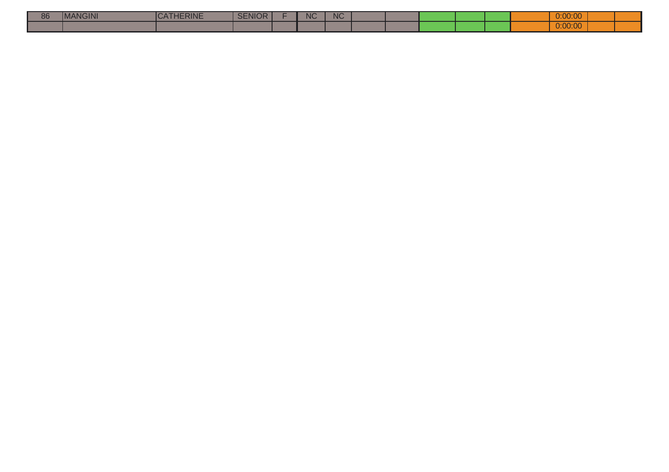| 86 | $\sim$ $\sim$ $\sim$ $\sim$<br>GINI<br>I IVI <i>I</i> | <b>HERINE</b> | <b>ENIOR</b> | <b>NC</b> | $\sqrt{1-\frac{1}{2}}$<br>NU. |  |  |  | 0:00:00           |  |
|----|-------------------------------------------------------|---------------|--------------|-----------|-------------------------------|--|--|--|-------------------|--|
|    |                                                       |               |              |           |                               |  |  |  | 0.0000<br>U.UU.UU |  |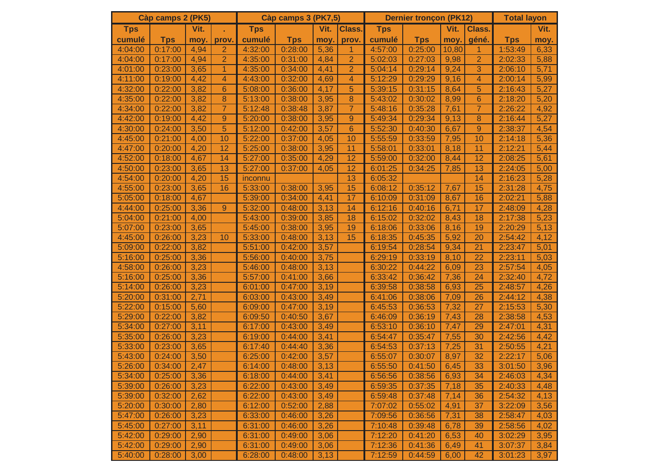|            | Càp camps 2 (PK5) |      |                | <b>Dernier tronçon (PK12)</b><br>Càp camps 3 (PK7,5) |            |      |                |            |            | <b>Total layon</b> |                |            |      |
|------------|-------------------|------|----------------|------------------------------------------------------|------------|------|----------------|------------|------------|--------------------|----------------|------------|------|
| <b>Tps</b> |                   | Vit. |                | <b>Tps</b>                                           |            | Vit. | Class.         | <b>Tps</b> |            | Vit.               | Class.         |            | Vit. |
| cumulé     | <b>Tps</b>        | moy. | prov.          | cumulé                                               | <b>Tps</b> | moy. | prov.          | cumulé     | <b>Tps</b> | moy.               | géné.          | <b>Tps</b> | moy. |
| 4:04:00    | 0:17:00           | 4,94 | $\overline{2}$ | 4:32:00                                              | 0:28:00    | 5,36 | $\mathbf{1}$   | 4:57:00    | 0:25:00    | 10,80              | $\mathbf{1}$   | 1:53:49    | 6,33 |
| 4:04:00    | 0:17:00           | 4,94 | $\overline{2}$ | 4:35:00                                              | 0:31:00    | 4,84 | $\overline{2}$ | 5:02:03    | 0:27:03    | 9,98               | 2              | 2:02:33    | 5,88 |
| 4:01:00    | 0:23:00           | 3,65 | $\mathbf{1}$   | 4:35:00                                              | 0:34:00    | 4,41 | $\overline{2}$ | 5:04:14    | 0:29:14    | 9,24               | 3              | 2:06:10    | 5,71 |
| 4:11:00    | 0:19:00           | 4,42 | 4              | 4:43:00                                              | 0:32:00    | 4,69 | 4              | 5:12:29    | 0:29:29    | 9,16               | 4              | 2:00:14    | 5,99 |
| 4:32:00    | 0:22:00           | 3,82 | 6              | 5:08:00                                              | 0:36:00    | 4,17 | 5              | 5:39:15    | 0:31:15    | 8,64               | 5              | 2:16:43    | 5,27 |
| 4:35:00    | 0:22:00           | 3,82 | 8              | 5:13:00                                              | 0:38:00    | 3,95 | 8              | 5:43:02    | 0:30:02    | 8,99               | 6              | 2:18:20    | 5,20 |
| 4:34:00    | 0:22:00           | 3,82 | $\overline{7}$ | 5:12:48                                              | 0:38:48    | 3,87 | $\overline{7}$ | 5:48:16    | 0:35:28    | 7,61               | $\overline{7}$ | 2:26:22    | 4,92 |
| 4:42:00    | 0:19:00           | 4,42 | 9              | 5:20:00                                              | 0:38:00    | 3,95 | 9              | 5:49:34    | 0:29:34    | 9,13               | 8              | 2:16:44    | 5,27 |
| 4:30:00    | 0:24:00           | 3,50 | 5              | 5:12:00                                              | 0:42:00    | 3,57 | 6              | 5:52:30    | 0:40:30    | 6,67               | 9              | 2:38:37    | 4,54 |
| 4:45:00    | 0:21:00           | 4,00 | 10             | 5:22:00                                              | 0:37:00    | 4,05 | 10             | 5:55:59    | 0:33:59    | 7,95               | 10             | 2:14:18    | 5,36 |
| 4:47:00    | 0:20:00           | 4,20 | 12             | 5:25:00                                              | 0:38:00    | 3,95 | 11             | 5:58:01    | 0:33:01    | 8,18               | 11             | 2:12:21    | 5,44 |
| 4:52:00    | 0:18:00           | 4,67 | 14             | 5:27:00                                              | 0:35:00    | 4,29 | 12             | 5:59:00    | 0:32:00    | 8,44               | 12             | 2:08:25    | 5,61 |
| 4:50:00    | 0:23:00           | 3,65 | 13             | 5:27:00                                              | 0:37:00    | 4,05 | 12             | 6:01:25    | 0:34:25    | 7,85               | 13             | 2:24:05    | 5,00 |
| 4:54:00    | 0:20:00           | 4,20 | 15             | inconnu                                              |            |      | 13             | 6:05:32    |            |                    | 14             | 2:16:23    | 5,28 |
| 4:55:00    | 0:23:00           | 3,65 | 16             | 5:33:00                                              | 0:38:00    | 3,95 | 15             | 6:08:12    | 0:35:12    | 7,67               | 15             | 2:31:28    | 4,75 |
| 5:05:00    | 0:18:00           | 4,67 |                | 5:39:00                                              | 0:34:00    | 4,41 | 17             | 6:10:09    | 0:31:09    | 8,67               | 16             | 2:02:21    | 5,88 |
| 4:44:00    | 0:25:00           | 3,36 | $9\,$          | 5:32:00                                              | 0:48:00    | 3,13 | 14             | 6:12:16    | 0:40:16    | 6,71               | 17             | 2:48:09    | 4,28 |
| 5:04:00    | 0:21:00           | 4,00 |                | 5:43:00                                              | 0:39:00    | 3,85 | 18             | 6:15:02    | 0:32:02    | 8,43               | 18             | 2:17:38    | 5,23 |
| 5:07:00    | 0:23:00           | 3,65 |                | 5:45:00                                              | 0:38:00    | 3,95 | 19             | 6:18:06    | 0:33:06    | 8,16               | 19             | 2:20:29    | 5,13 |
| 4:45:00    | 0:26:00           | 3,23 | 10             | 5:33:00                                              | 0:48:00    | 3,13 | 15             | 6:18:35    | 0:45:35    | 5,92               | 20             | 2:54:42    | 4,12 |
| 5:09:00    | 0:22:00           | 3,82 |                | 5:51:00                                              | 0:42:00    | 3,57 |                | 6:19:54    | 0:28:54    | 9,34               | 21             | 2:23:47    | 5,01 |
| 5:16:00    | 0:25:00           | 3,36 |                | 5:56:00                                              | 0:40:00    | 3,75 |                | 6:29:19    | 0:33:19    | 8,10               | 22             | 2:23:11    | 5,03 |
| 4:58:00    | 0:26:00           | 3,23 |                | 5:46:00                                              | 0:48:00    | 3,13 |                | 6:30:22    | 0:44:22    | 6,09               | 23             | 2:57:54    | 4,05 |
| 5:16:00    | 0:25:00           | 3,36 |                | 5:57:00                                              | 0:41:00    | 3,66 |                | 6:33:42    | 0:36:42    | 7,36               | 24             | 2:32:40    | 4,72 |
| 5:14:00    | 0:26:00           | 3,23 |                | 6:01:00                                              | 0:47:00    | 3,19 |                | 6:39:58    | 0:38:58    | 6,93               | 25             | 2:48:57    | 4,26 |
| 5:20:00    | 0:31:00           | 2,71 |                | 6:03:00                                              | 0:43:00    | 3,49 |                | 6:41:06    | 0:38:06    | 7,09               | 26             | 2:44:12    | 4,38 |
| 5:22:00    | 0:15:00           | 5,60 |                | 6:09:00                                              | 0:47:00    | 3,19 |                | 6:45:53    | 0:36:53    | 7,32               | 27             | 2:15:53    | 5,30 |
| 5:29:00    | 0:22:00           | 3,82 |                | 6:09:50                                              | 0:40:50    | 3,67 |                | 6:46:09    | 0:36:19    | 7,43               | 28             | 2:38:58    | 4,53 |
| 5:34:00    | 0:27:00           | 3,11 |                | 6:17:00                                              | 0:43:00    | 3,49 |                | 6:53:10    | 0:36:10    | 7,47               | 29             | 2:47:01    | 4,31 |
| 5:35:00    | 0:26:00           | 3,23 |                | 6:19:00                                              | 0:44:00    | 3,41 |                | 6:54:47    | 0:35:47    | 7,55               | 30             | 2:42:56    | 4,42 |
| 5:33:00    | 0:23:00           | 3,65 |                | 6:17:40                                              | 0:44:40    | 3,36 |                | 6:54:53    | 0:37:13    | 7,25               | 31             | 2:50:55    | 4,21 |
| 5:43:00    | 0:24:00           | 3,50 |                | 6:25:00                                              | 0:42:00    | 3,57 |                | 6:55:07    | 0:30:07    | 8,97               | 32             | 2:22:17    | 5,06 |
| 5:26:00    | 0:34:00           | 2,47 |                | 6:14:00                                              | 0:48:00    | 3,13 |                | 6:55:50    | 0:41:50    | 6,45               | 33             | 3:01:50    | 3,96 |
| 5:34:00    | 0:25:00           | 3,36 |                | 6:18:00                                              | 0:44:00    | 3,41 |                | 6:56:56    | 0:38:56    | 6,93               | 34             | 2:46:03    | 4,34 |
| 5:39:00    | 0:26:00           | 3,23 |                | 6:22:00                                              | 0:43:00    | 3,49 |                | 6:59:35    | 0:37:35    | 7,18               | 35             | 2:40:33    | 4,48 |
| 5:39:00    | 0:32:00           | 2,62 |                | 6:22:00                                              | 0:43:00    | 3,49 |                | 6:59:48    | 0:37:48    | 7,14               | 36             | 2:54:32    | 4,13 |
| 5:20:00    | 0:30:00           | 2,80 |                | 6:12:00                                              | 0:52:00    | 2,88 |                | 7:07:02    | 0:55:02    | 4,91               | 37             | 3:22:09    | 3,56 |
| 5:47:00    | 0:26:00           | 3,23 |                | 6:33:00                                              | 0:46:00    | 3,26 |                | 7:09:56    | 0:36:56    | 7,31               | 38             | 2:58:47    | 4,03 |
| 5:45:00    | 0:27:00           | 3,11 |                | 6:31:00                                              | 0:46:00    | 3,26 |                | 7:10:48    | 0:39:48    | 6,78               | 39             | 2:58:56    | 4,02 |
| 5:42:00    | 0:29:00           | 2,90 |                | 6:31:00                                              | 0:49:00    | 3,06 |                | 7:12:20    | 0:41:20    | 6,53               | 40             | 3:02:29    | 3,95 |
| 5:42:00    | 0:29:00           | 2,90 |                | 6:31:00                                              | 0:49:00    | 3,06 |                | 7:12:36    | 0:41:36    | 6,49               | 41             | 3:07:37    | 3,84 |
| 5:40:00    | 0:28:00           | 3,00 |                | 6:28:00                                              | 0:48:00    | 3,13 |                | 7:12:59    | 0:44:59    | 6,00               | 42             | 3:01:23    | 3,97 |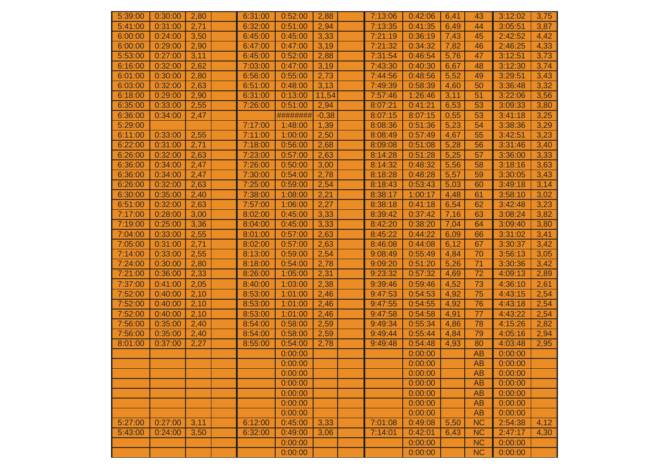| 5:39:00 | 0:30:00 | 2,80 | 6:31:00 | 0:52:00  | 2,88    | 7:13:06 | 0:42:06 | 6,41 | 43        | 3:12:02 | 3,75 |
|---------|---------|------|---------|----------|---------|---------|---------|------|-----------|---------|------|
| 5:41:00 | 0:31:00 | 2,71 | 6:32:00 | 0:51:00  | 2,94    | 7:13:35 | 0:41:35 | 6,49 | 44        | 3:05:51 | 3,87 |
| 6:00:00 | 0:24:00 | 3,50 | 6:45:00 | 0:45:00  | 3,33    | 7:21:19 | 0:36:19 | 7,43 | 45        | 2:42:52 | 4,42 |
| 6:00:00 | 0:29:00 | 2,90 | 6:47:00 | 0:47:00  | 3,19    | 7:21:32 | 0:34:32 | 7,82 | 46        | 2:46:25 | 4,33 |
| 5:53:00 | 0:27:00 | 3,11 | 6:45:00 | 0:52:00  | 2,88    | 7:31:54 | 0:46:54 | 5,76 | 47        | 3:12:51 | 3,73 |
| 6:16:00 | 0:32:00 | 2,62 | 7:03:00 | 0:47:00  | 3,19    | 7:43:30 | 0:40:30 | 6,67 | 48        | 3:12:30 | 3,74 |
| 6:01:00 | 0:30:00 | 2,80 | 6:56:00 | 0:55:00  | 2,73    | 7:44:56 | 0:48:56 | 5,52 | 49        | 3:29:51 | 3,43 |
| 6:03:00 | 0:32:00 | 2,63 | 6:51:00 | 0:48:00  | 3,13    | 7:49:39 | 0:58:39 | 4,60 | 50        | 3:36:48 | 3,32 |
| 6:18:00 | 0:29:00 | 2,90 | 6:31:00 | 0:13:00  | 11,54   | 7:57:46 | 1:26:46 | 3,11 | 51        | 3:22:06 | 3,56 |
| 6:35:00 | 0:33:00 | 2,55 | 7:26:00 | 0:51:00  | 2,94    | 8:07:21 | 0:41:21 | 6,53 | 53        | 3:09:33 | 3,80 |
| 6:36:00 | 0:34:00 | 2,47 |         | ######## | $-0,38$ | 8:07:15 | 8:07:15 | 0,55 | 53        | 3:41:18 | 3,25 |
| 5:29:00 |         |      | 7:17:00 | 1:48:00  | 1,39    | 8:08:36 | 0:51:36 | 5,23 | 54        | 3:38:36 | 3,29 |
| 6:11:00 | 0:33:00 | 2,55 | 7:11:00 | 1:00:00  | 2,50    | 8:08:49 | 0:57:49 | 4,67 | 55        | 3:42:51 | 3,23 |
| 6:22:00 | 0:31:00 | 2,71 | 7:18:00 | 0:56:00  | 2,68    | 8:09:08 | 0:51:08 | 5,28 | 56        | 3:31:46 | 3,40 |
| 6:26:00 | 0:32:00 | 2,63 | 7:23:00 | 0:57:00  | 2,63    | 8:14:28 | 0:51:28 | 5,25 | 57        | 3:36:00 | 3,33 |
| 6:36:00 | 0:34:00 | 2,47 | 7:26:00 | 0:50:00  | 3,00    | 8:14:32 | 0:48:32 | 5,56 | 58        | 3:18:16 | 3,63 |
| 6:36:00 | 0:34:00 | 2,47 | 7:30:00 | 0:54:00  | 2,78    | 8:18:28 | 0:48:28 | 5,57 | 59        | 3:30:05 | 3,43 |
| 6:26:00 | 0:32:00 | 2,63 | 7:25:00 | 0:59:00  | 2,54    | 8:18:43 | 0:53:43 | 5,03 | 60        | 3:49:18 | 3,14 |
| 6:30:00 | 0:35:00 | 2,40 | 7:38:00 | 1:08:00  | 2,21    | 8:38:17 | 1:00:17 | 4,48 | 61        | 3:58:10 | 3,02 |
| 6:51:00 | 0:32:00 | 2,63 | 7:57:00 | 1:06:00  | 2,27    | 8:38:18 | 0:41:18 | 6,54 | 62        | 3:42:48 | 3,23 |
| 7:17:00 | 0:28:00 | 3,00 | 8:02:00 | 0:45:00  | 3,33    | 8:39:42 | 0:37:42 | 7,16 | 63        | 3:08:24 | 3,82 |
| 7:19:00 | 0:25:00 | 3,36 | 8:04:00 | 0:45:00  | 3,33    | 8:42:20 | 0:38:20 | 7,04 | 64        | 3:09:40 | 3,80 |
| 7:04:00 | 0:33:00 | 2,55 | 8:01:00 | 0:57:00  | 2,63    | 8:45:22 | 0:44:22 | 6,09 | 66        | 3:31:02 | 3,41 |
| 7:05:00 | 0:31:00 | 2,71 | 8:02:00 | 0:57:00  | 2,63    | 8:46:08 | 0:44:08 | 6,12 | 67        | 3:30:37 | 3,42 |
| 7:14:00 | 0:33:00 | 2,55 | 8:13:00 | 0:59:00  | 2,54    | 9:08:49 | 0:55:49 | 4,84 | 70        | 3:56:13 | 3,05 |
| 7:24:00 | 0:30:00 | 2,80 | 8:18:00 | 0:54:00  | 2,78    | 9:09:20 | 0:51:20 | 5,26 | 71        | 3:30:36 | 3,42 |
| 7:21:00 | 0:36:00 | 2,33 | 8:26:00 | 1:05:00  | 2,31    | 9:23:32 | 0:57:32 | 4,69 | 72        | 4:09:13 | 2,89 |
| 7:37:00 | 0:41:00 | 2,05 | 8:40:00 | 1:03:00  | 2,38    | 9:39:46 | 0:59:46 | 4,52 | 73        | 4:36:10 | 2,61 |
| 7:52:00 | 0:40:00 | 2,10 | 8:53:00 | 1:01:00  | 2,46    | 9:47:53 | 0:54:53 | 4,92 | 75        | 4:43:15 | 2,54 |
| 7:52:00 | 0:40:00 | 2,10 | 8:53:00 | 1:01:00  | 2,46    | 9:47:55 | 0:54:55 | 4,92 | 76        | 4:43:18 | 2,54 |
| 7:52:00 | 0:40:00 | 2,10 | 8:53:00 | 1:01:00  | 2,46    | 9:47:58 | 0:54:58 | 4,91 | 77        | 4:43:22 | 2,54 |
| 7:56:00 | 0:35:00 | 2,40 | 8:54:00 | 0:58:00  | 2,59    | 9:49:34 | 0:55:34 | 4,86 | 78        | 4:15:26 | 2,82 |
| 7:56:00 | 0:35:00 | 2,40 | 8:54:00 | 0:58:00  | 2,59    | 9:49:44 | 0:55:44 | 4,84 | 79        | 4:05:16 | 2,94 |
| 8:01:00 | 0:37:00 | 2,27 | 8:55:00 | 0:54:00  | 2,78    | 9:49:48 | 0:54:48 | 4,93 | 80        | 4:03:48 | 2,95 |
|         |         |      |         | 0:00:00  |         |         | 0:00:00 |      | <b>AB</b> | 0:00:00 |      |
|         |         |      |         | 0:00:00  |         |         | 0:00:00 |      | AB        | 0:00:00 |      |
|         |         |      |         | 0:00:00  |         |         | 0:00:00 |      | <b>AB</b> | 0:00:00 |      |
|         |         |      |         | 0:00:00  |         |         | 0:00:00 |      | AB        | 0:00:00 |      |
|         |         |      |         | 0:00:00  |         |         | 0:00:00 |      | <b>AB</b> | 0:00:00 |      |
|         |         |      |         | 0:00:00  |         |         | 0:00:00 |      | AB        | 0:00:00 |      |
|         |         |      |         | 0:00:00  |         |         | 0:00:00 |      | AB        | 0:00:00 |      |
| 5:27:00 | 0:27:00 | 3,11 | 6:12:00 | 0:45:00  | 3,33    | 7:01:08 | 0:49:08 | 5,50 | NC        | 2:54:38 | 4,12 |
| 5:43:00 | 0:24:00 | 3,50 | 6:32:00 | 0:49:00  | 3,06    | 7:14:01 | 0:42:01 | 6,43 | <b>NC</b> | 2:47:17 | 4,30 |
|         |         |      |         | 0:00:00  |         |         | 0:00:00 |      | NC        | 0:00:00 |      |
|         |         |      |         | 0:00:00  |         |         | 0:00:00 |      | NC        | 0:00:00 |      |